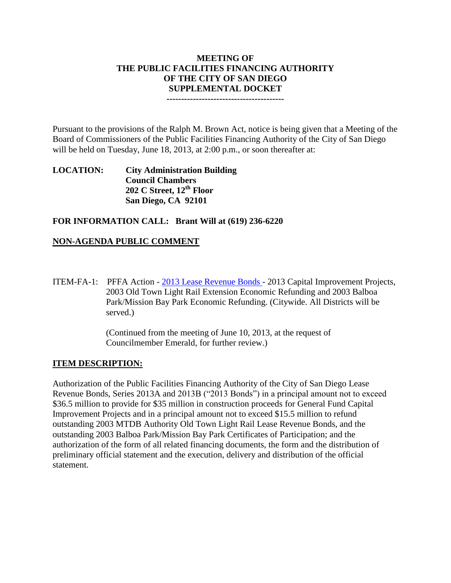# **MEETING OF THE PUBLIC FACILITIES FINANCING AUTHORITY OF THE CITY OF SAN DIEGO SUPPLEMENTAL DOCKET**

**----------------------------------------**

Pursuant to the provisions of the Ralph M. Brown Act, notice is being given that a Meeting of the Board of Commissioners of the Public Facilities Financing Authority of the City of San Diego will be held on Tuesday, June 18, 2013, at 2:00 p.m., or soon thereafter at:

**LOCATION: City Administration Building Council Chambers 202 C Street, 12th Floor San Diego, CA 92101**

#### **FOR INFORMATION CALL: Brant Will at (619) 236-6220**

## **NON-AGENDA PUBLIC COMMENT**

ITEM-FA-1: PFFA Action - [2013 Lease Revenue Bonds](http://www.sandiego.gov/city-clerk/pdf/pffa/pffaexihibit130618.2.pdf) - 2013 Capital Improvement Projects, 2003 Old Town Light Rail Extension Economic Refunding and 2003 Balboa Park/Mission Bay Park Economic Refunding. (Citywide. All Districts will be served.)

> (Continued from the meeting of June 10, 2013, at the request of Councilmember Emerald, for further review.)

#### **ITEM DESCRIPTION:**

Authorization of the Public Facilities Financing Authority of the City of San Diego Lease Revenue Bonds, Series 2013A and 2013B ("2013 Bonds") in a principal amount not to exceed \$36.5 million to provide for \$35 million in construction proceeds for General Fund Capital Improvement Projects and in a principal amount not to exceed \$15.5 million to refund outstanding 2003 MTDB Authority Old Town Light Rail Lease Revenue Bonds, and the outstanding 2003 Balboa Park/Mission Bay Park Certificates of Participation; and the authorization of the form of all related financing documents, the form and the distribution of preliminary official statement and the execution, delivery and distribution of the official statement.